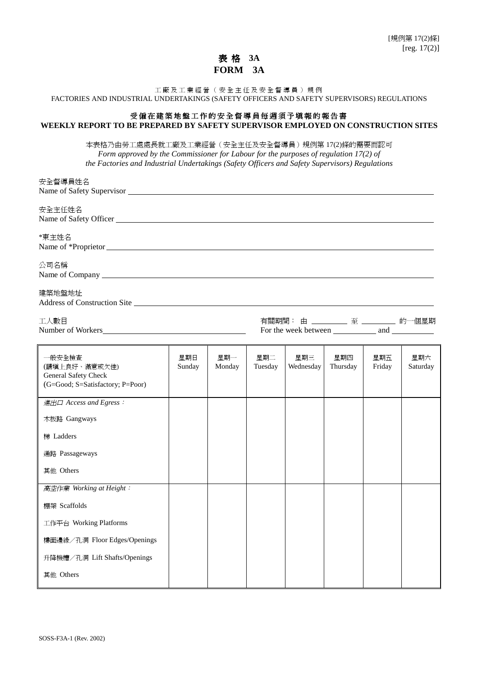## 表 格 **3A FORM 3A**

工廠及工業經營(安全主任及安全督導員)規例 FACTORIES AND INDUSTRIAL UNDERTAKINGS (SAFETY OFFICERS AND SAFETY SUPERVISORS) REGULATIONS

## 受僱在建築地盤工作的安全督導員每週須予填報的報告書 **WEEKLY REPORT TO BE PREPARED BY SAFETY SUPERVISOR EMPLOYED ON CONSTRUCTION SITES**

本表格乃由㈸工處處長就工廠及工業經營(安全主任及安全督導員)規例第 17(2)條的需要而認可 *Form approved by the Commissioner for Labour for the purposes of regulation 17(2) of the Factories and Industrial Undertakings (Safety Officers and Safety Supervisors) Regulations*

| 安全督導員姓名                                                                                                                                                                                                                               |               |               |                                  |                  |                 |               |                 |
|---------------------------------------------------------------------------------------------------------------------------------------------------------------------------------------------------------------------------------------|---------------|---------------|----------------------------------|------------------|-----------------|---------------|-----------------|
| 安全主任姓名                                                                                                                                                                                                                                |               |               |                                  |                  |                 |               |                 |
| *東主姓名                                                                                                                                                                                                                                 |               |               |                                  |                  |                 |               |                 |
| 公司名稱<br>Name of Company Legal Company Company Company Company Company Company Company Company Company Company Company Company Company Company Company Company Company Company Company Company Company Company Company Company Company |               |               |                                  |                  |                 |               |                 |
| 建築地盤地址<br>Address of Construction Site                                                                                                                                                                                                |               |               |                                  |                  |                 |               |                 |
| 工人數目                                                                                                                                                                                                                                  |               |               | 有關期間: 由 ________ 至 _______ 的一個星期 |                  |                 |               |                 |
| 一般安全檢查<br>(請填上良好、滿意或欠佳)<br>General Safety Check<br>(G=Good; S=Satisfactory; P=Poor)                                                                                                                                                   | 星期日<br>Sunday | 星期一<br>Monday | 星期二<br>Tuesday                   | 星期三<br>Wednesday | 星期四<br>Thursday | 星期五<br>Friday | 星期六<br>Saturday |
| 進出口 Access and Egress:<br>木板路 Gangways<br>梯 Ladders<br>通路 Passageways<br>其他 Others                                                                                                                                                    |               |               |                                  |                  |                 |               |                 |
| 高空作業 Working at Height:<br>棚架 Scaffolds<br>工作平台 Working Platforms<br>樓面邊緣/孔洞 Floor Edges/Openings<br>升降機槽/孔洞 Lift Shafts/Openings<br>其他 Others                                                                                        |               |               |                                  |                  |                 |               |                 |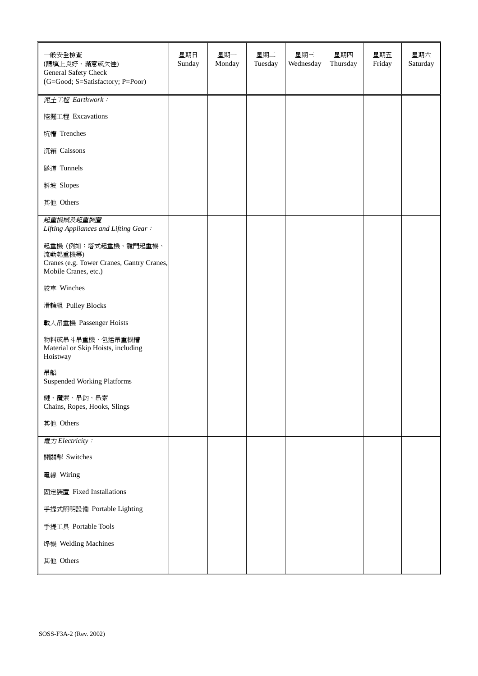| 一般安全檢查<br>(請填上良好、滿意或欠佳)<br>General Safety Check<br>(G=Good; S=Satisfactory; P=Poor)                 | 星期日<br>Sunday | 星期一<br>Monday | 星期二<br>Tuesday | 星期三<br>Wednesday | 星期四<br>Thursday | 星期五<br>Friday | 星期六<br>Saturday |
|-----------------------------------------------------------------------------------------------------|---------------|---------------|----------------|------------------|-----------------|---------------|-----------------|
| 泥土工程 Earthwork:                                                                                     |               |               |                |                  |                 |               |                 |
| 挖掘工程 Excavations                                                                                    |               |               |                |                  |                 |               |                 |
| 坑槽 Trenches                                                                                         |               |               |                |                  |                 |               |                 |
| 沉箱 Caissons                                                                                         |               |               |                |                  |                 |               |                 |
| 隧道 Tunnels                                                                                          |               |               |                |                  |                 |               |                 |
| 斜坡 Slopes                                                                                           |               |               |                |                  |                 |               |                 |
| 其他 Others                                                                                           |               |               |                |                  |                 |               |                 |
| 起重機械及起重裝置<br>Lifting Appliances and Lifting Gear:                                                   |               |               |                |                  |                 |               |                 |
| 起重機(例如:塔式起重機、龍門起重機、<br>流動起重機等)<br>Cranes (e.g. Tower Cranes, Gantry Cranes,<br>Mobile Cranes, etc.) |               |               |                |                  |                 |               |                 |
| 絞車 Winches                                                                                          |               |               |                |                  |                 |               |                 |
| 滑輪組 Pulley Blocks                                                                                   |               |               |                |                  |                 |               |                 |
| 載人吊重機 Passenger Hoists                                                                              |               |               |                |                  |                 |               |                 |
| 物料或吊斗吊重機,包括吊重機槽<br>Material or Skip Hoists, including<br>Hoistway                                   |               |               |                |                  |                 |               |                 |
| 吊船<br><b>Suspended Working Platforms</b>                                                            |               |               |                |                  |                 |               |                 |
| 鏈、纜索、吊鈎、吊索<br>Chains, Ropes, Hooks, Slings                                                          |               |               |                |                  |                 |               |                 |
| 其他 Others                                                                                           |               |               |                |                  |                 |               |                 |
| 電力 Electricity:                                                                                     |               |               |                |                  |                 |               |                 |
| 開關掣 Switches                                                                                        |               |               |                |                  |                 |               |                 |
| 電線 Wiring                                                                                           |               |               |                |                  |                 |               |                 |
| 固定裝置 Fixed Installations                                                                            |               |               |                |                  |                 |               |                 |
| 手提式照明設備 Portable Lighting                                                                           |               |               |                |                  |                 |               |                 |
| 手提工具 Portable Tools                                                                                 |               |               |                |                  |                 |               |                 |
| 焊機 Welding Machines                                                                                 |               |               |                |                  |                 |               |                 |
| 其他 Others                                                                                           |               |               |                |                  |                 |               |                 |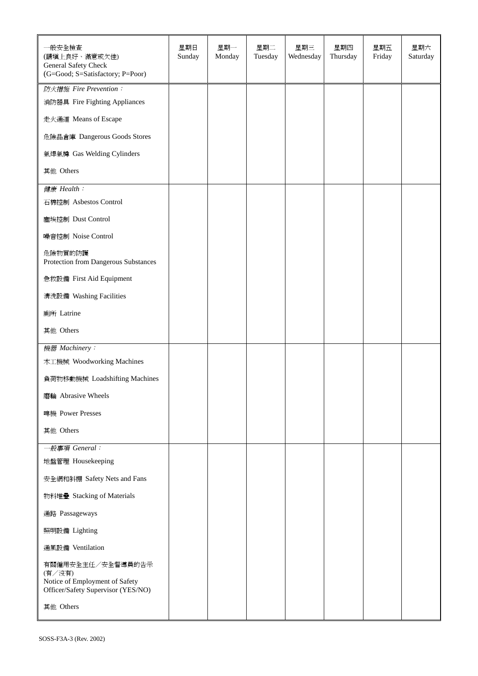| 一般安全檢查<br>(請填上良好、滿意或欠佳)<br>General Safety Check<br>(G=Good; S=Satisfactory; P=Poor)                 | 星期日<br>Sunday | 星期一<br>Monday | 星期二<br>Tuesday | 星期三<br>Wednesday | 星期四<br>Thursday | 星期五<br>Friday | 星期六<br>Saturday |
|-----------------------------------------------------------------------------------------------------|---------------|---------------|----------------|------------------|-----------------|---------------|-----------------|
| 防火措施 Fire Prevention:                                                                               |               |               |                |                  |                 |               |                 |
| 消防器具 Fire Fighting Appliances                                                                       |               |               |                |                  |                 |               |                 |
| 走火通道 Means of Escape                                                                                |               |               |                |                  |                 |               |                 |
| 危險品倉庫 Dangerous Goods Stores                                                                        |               |               |                |                  |                 |               |                 |
| 氣焊氣樽 Gas Welding Cylinders                                                                          |               |               |                |                  |                 |               |                 |
| 其他 Others                                                                                           |               |               |                |                  |                 |               |                 |
| 健康 Health:                                                                                          |               |               |                |                  |                 |               |                 |
| 石棉控制 Asbestos Control                                                                               |               |               |                |                  |                 |               |                 |
| 塵埃控制 Dust Control                                                                                   |               |               |                |                  |                 |               |                 |
| 噪音控制 Noise Control                                                                                  |               |               |                |                  |                 |               |                 |
| 危險物質的防護<br>Protection from Dangerous Substances                                                     |               |               |                |                  |                 |               |                 |
| 急救設備 First Aid Equipment                                                                            |               |               |                |                  |                 |               |                 |
| 清洗設備 Washing Facilities                                                                             |               |               |                |                  |                 |               |                 |
| 廁所 Latrine                                                                                          |               |               |                |                  |                 |               |                 |
| 其他 Others                                                                                           |               |               |                |                  |                 |               |                 |
| 機器 Machinery:                                                                                       |               |               |                |                  |                 |               |                 |
| 木工機械 Woodworking Machines                                                                           |               |               |                |                  |                 |               |                 |
| 負荷物移動機械 Loadshifting Machines                                                                       |               |               |                |                  |                 |               |                 |
| 磨輪 Abrasive Wheels                                                                                  |               |               |                |                  |                 |               |                 |
| 啤機 Power Presses                                                                                    |               |               |                |                  |                 |               |                 |
| 其他 Others                                                                                           |               |               |                |                  |                 |               |                 |
| 一般事項 General:                                                                                       |               |               |                |                  |                 |               |                 |
| 地盤管理 Housekeeping                                                                                   |               |               |                |                  |                 |               |                 |
| 安全網和斜棚 Safety Nets and Fans                                                                         |               |               |                |                  |                 |               |                 |
| 物料堆疊 Stacking of Materials                                                                          |               |               |                |                  |                 |               |                 |
| 通路 Passageways                                                                                      |               |               |                |                  |                 |               |                 |
| 照明設備 Lighting                                                                                       |               |               |                |                  |                 |               |                 |
| 通風設備 Ventilation                                                                                    |               |               |                |                  |                 |               |                 |
| 有關僱用安全主任/安全督導員的告示<br>(有/沒有)<br>Notice of Employment of Safety<br>Officer/Safety Supervisor (YES/NO) |               |               |                |                  |                 |               |                 |
| 其他 Others                                                                                           |               |               |                |                  |                 |               |                 |